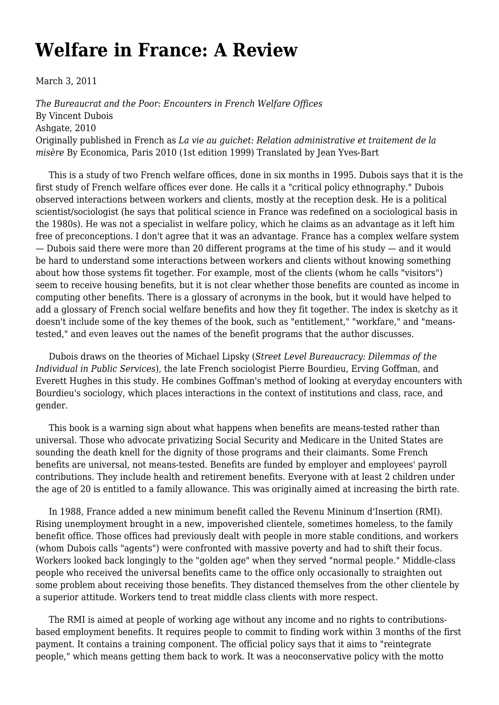## **[Welfare in France: A Review](https://newpol.org/welfare-france-review/)**

March 3, 2011

*The Bureaucrat and the Poor: Encounters in French Welfare Offices* By Vincent Dubois Ashgate, 2010 Originally published in French as *La vie au guichet: Relation administrative et traitement de la misère* By Economica, Paris 2010 (1st edition 1999) Translated by Jean Yves-Bart

 This is a study of two French welfare offices, done in six months in 1995. Dubois says that it is the first study of French welfare offices ever done. He calls it a "critical policy ethnography." Dubois observed interactions between workers and clients, mostly at the reception desk. He is a political scientist/sociologist (he says that political science in France was redefined on a sociological basis in the 1980s). He was not a specialist in welfare policy, which he claims as an advantage as it left him free of preconceptions. I don't agree that it was an advantage. France has a complex welfare system — Dubois said there were more than 20 different programs at the time of his study — and it would be hard to understand some interactions between workers and clients without knowing something about how those systems fit together. For example, most of the clients (whom he calls "visitors") seem to receive housing benefits, but it is not clear whether those benefits are counted as income in computing other benefits. There is a glossary of acronyms in the book, but it would have helped to add a glossary of French social welfare benefits and how they fit together. The index is sketchy as it doesn't include some of the key themes of the book, such as "entitlement," "workfare," and "meanstested," and even leaves out the names of the benefit programs that the author discusses.

 Dubois draws on the theories of Michael Lipsky (*Street Level Bureaucracy: Dilemmas of the Individual in Public Services*), the late French sociologist Pierre Bourdieu, Erving Goffman, and Everett Hughes in this study. He combines Goffman's method of looking at everyday encounters with Bourdieu's sociology, which places interactions in the context of institutions and class, race, and gender.

 This book is a warning sign about what happens when benefits are means-tested rather than universal. Those who advocate privatizing Social Security and Medicare in the United States are sounding the death knell for the dignity of those programs and their claimants. Some French benefits are universal, not means-tested. Benefits are funded by employer and employees' payroll contributions. They include health and retirement benefits. Everyone with at least 2 children under the age of 20 is entitled to a family allowance. This was originally aimed at increasing the birth rate.

 In 1988, France added a new minimum benefit called the Revenu Mininum d'Insertion (RMI). Rising unemployment brought in a new, impoverished clientele, sometimes homeless, to the family benefit office. Those offices had previously dealt with people in more stable conditions, and workers (whom Dubois calls "agents") were confronted with massive poverty and had to shift their focus. Workers looked back longingly to the "golden age" when they served "normal people." Middle-class people who received the universal benefits came to the office only occasionally to straighten out some problem about receiving those benefits. They distanced themselves from the other clientele by a superior attitude. Workers tend to treat middle class clients with more respect.

 The RMI is aimed at people of working age without any income and no rights to contributionsbased employment benefits. It requires people to commit to finding work within 3 months of the first payment. It contains a training component. The official policy says that it aims to "reintegrate people," which means getting them back to work. It was a neoconservative policy with the motto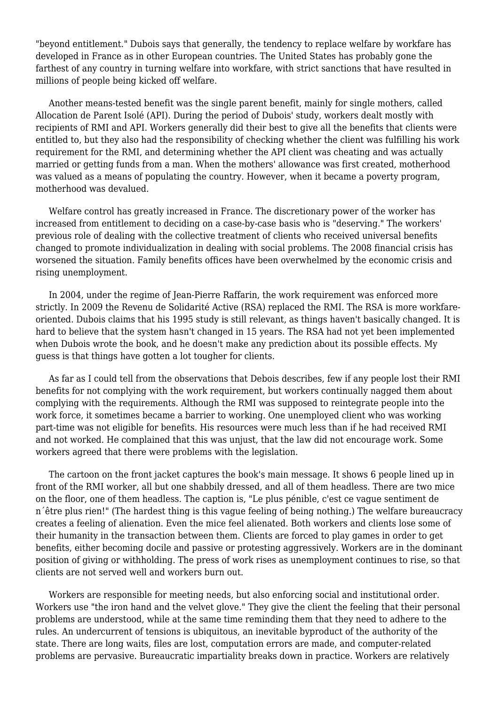"beyond entitlement." Dubois says that generally, the tendency to replace welfare by workfare has developed in France as in other European countries. The United States has probably gone the farthest of any country in turning welfare into workfare, with strict sanctions that have resulted in millions of people being kicked off welfare.

 Another means-tested benefit was the single parent benefit, mainly for single mothers, called Allocation de Parent Isolé (API). During the period of Dubois' study, workers dealt mostly with recipients of RMI and API. Workers generally did their best to give all the benefits that clients were entitled to, but they also had the responsibility of checking whether the client was fulfilling his work requirement for the RMI, and determining whether the API client was cheating and was actually married or getting funds from a man. When the mothers' allowance was first created, motherhood was valued as a means of populating the country. However, when it became a poverty program, motherhood was devalued.

 Welfare control has greatly increased in France. The discretionary power of the worker has increased from entitlement to deciding on a case-by-case basis who is "deserving." The workers' previous role of dealing with the collective treatment of clients who received universal benefits changed to promote individualization in dealing with social problems. The 2008 financial crisis has worsened the situation. Family benefits offices have been overwhelmed by the economic crisis and rising unemployment.

 In 2004, under the regime of Jean-Pierre Raffarin, the work requirement was enforced more strictly. In 2009 the Revenu de Solidarité Active (RSA) replaced the RMI. The RSA is more workfareoriented. Dubois claims that his 1995 study is still relevant, as things haven't basically changed. It is hard to believe that the system hasn't changed in 15 years. The RSA had not yet been implemented when Dubois wrote the book, and he doesn't make any prediction about its possible effects. My guess is that things have gotten a lot tougher for clients.

 As far as I could tell from the observations that Debois describes, few if any people lost their RMI benefits for not complying with the work requirement, but workers continually nagged them about complying with the requirements. Although the RMI was supposed to reintegrate people into the work force, it sometimes became a barrier to working. One unemployed client who was working part-time was not eligible for benefits. His resources were much less than if he had received RMI and not worked. He complained that this was unjust, that the law did not encourage work. Some workers agreed that there were problems with the legislation.

 The cartoon on the front jacket captures the book's main message. It shows 6 people lined up in front of the RMI worker, all but one shabbily dressed, and all of them headless. There are two mice on the floor, one of them headless. The caption is, "Le plus pénible, c'est ce vague sentiment de n´être plus rien!" (The hardest thing is this vague feeling of being nothing.) The welfare bureaucracy creates a feeling of alienation. Even the mice feel alienated. Both workers and clients lose some of their humanity in the transaction between them. Clients are forced to play games in order to get benefits, either becoming docile and passive or protesting aggressively. Workers are in the dominant position of giving or withholding. The press of work rises as unemployment continues to rise, so that clients are not served well and workers burn out.

 Workers are responsible for meeting needs, but also enforcing social and institutional order. Workers use "the iron hand and the velvet glove." They give the client the feeling that their personal problems are understood, while at the same time reminding them that they need to adhere to the rules. An undercurrent of tensions is ubiquitous, an inevitable byproduct of the authority of the state. There are long waits, files are lost, computation errors are made, and computer-related problems are pervasive. Bureaucratic impartiality breaks down in practice. Workers are relatively